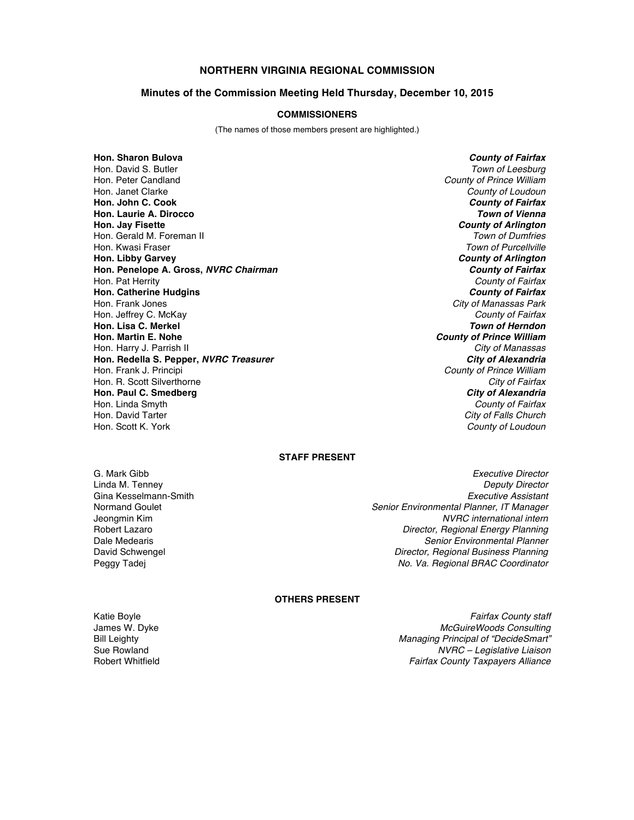# **NORTHERN VIRGINIA REGIONAL COMMISSION**

### **Minutes of the Commission Meeting Held Thursday, December 10, 2015**

#### **COMMISSIONERS**

(The names of those members present are highlighted.)

**Hon. Sharon Bulova** *County of Fairfax* Hon. David S. Butler *Town of Leesburg* Hon. Peter Candland *County of Prince William* Hon. Janet Clarke *County of Loudoun* **Hon. John C. Cook** *County of Fairfax* **Hon. Laurie A. Dirocco** *Town of Vienna* Hon. Gerald M. Foreman II<br>Hon. Kwasi Fraser Hon. Kwasi Fraser *Town of Purcellville* **Hon. Penelope A. Gross,** *NVRC Chairman County of Fairfax* Hon. Pat Herrity *County of Fairfax* **Hon. Catherine Hudgins** *County of Fairfax* Hon. Frank Jones *City of Manassas Park* Hon. Jeffrey C. McKay *County of Fairfax* **Hon. Lisa C. Merkel** *Hon. Martin E. Nohe* Hon. Harry J. Parrish II *City of Manassas* **Hon. Redella S. Pepper,** *NVRC Treasurer*<br>Hon. Frank J. Principi Hon. R. Scott Silverthorne *City of Fairfax* **Hon. Paul C. Smedberg** *City of Alexandria* Hon. Linda Smyth *County of Fairfax* Hon. David Tarter *City of Falls Church*

**County of Arlington**<br>*Town of Dumfries* **County of Arlington County of Prince William County of Prince William County of Loudoun** 

## **STAFF PRESENT**

Gina Kesselmann-Smith<br>Normand Goulet

G. Mark Gibb *Executive Director* Linda M. Tenney *Deputy Director* Normand Goulet *Senior Environmental Planner, IT Manager* Jeongmin Kim *NVRC international intern* **Director, Regional Energy Planning** Dale Medearis *Senior Environmental Planner* David Schwengel *Director, Regional Business Planning* Peggy Tadej *No. Va. Regional BRAC Coordinator*

## **OTHERS PRESENT**

Katie Boyle *Fairfax County staff* James W. Dyke *McGuireWoods Consulting* Bill Leighty *Managing Principal of "DecideSmart"* Sue Rowland *NVRC – Legislative Liaison* Robert Whitfield *Fairfax County Taxpayers Alliance*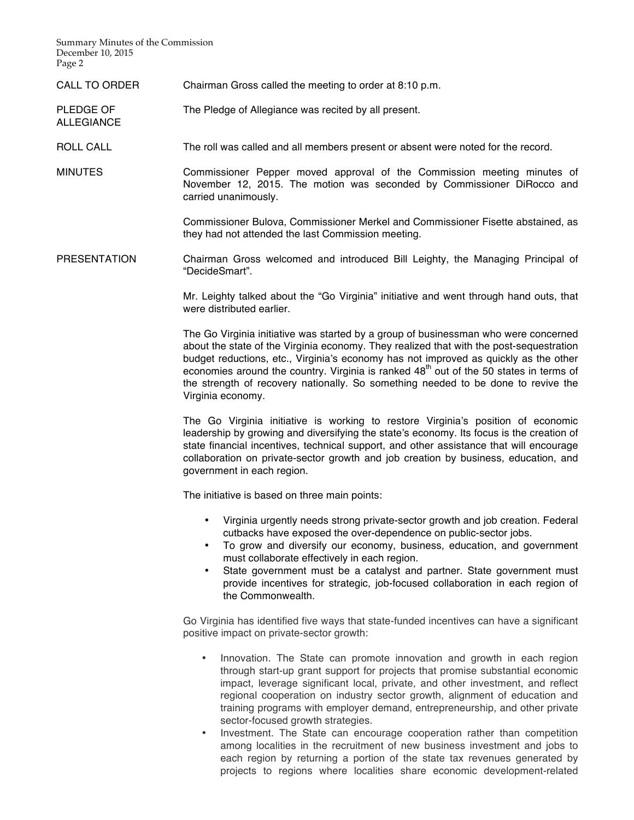Summary Minutes of the Commission December 10, 2015 Page 2

ALLEGIANCE

CALL TO ORDER Chairman Gross called the meeting to order at 8:10 p.m.

PLEDGE OF The Pledge of Allegiance was recited by all present.

ROLL CALL The roll was called and all members present or absent were noted for the record.

MINUTES Commissioner Pepper moved approval of the Commission meeting minutes of November 12, 2015. The motion was seconded by Commissioner DiRocco and carried unanimously.

> Commissioner Bulova, Commissioner Merkel and Commissioner Fisette abstained, as they had not attended the last Commission meeting.

PRESENTATION Chairman Gross welcomed and introduced Bill Leighty, the Managing Principal of "DecideSmart".

> Mr. Leighty talked about the "Go Virginia" initiative and went through hand outs, that were distributed earlier.

> The Go Virginia initiative was started by a group of businessman who were concerned about the state of the Virginia economy. They realized that with the post-sequestration budget reductions, etc., Virginia's economy has not improved as quickly as the other economies around the country. Virginia is ranked  $48<sup>th</sup>$  out of the 50 states in terms of the strength of recovery nationally. So something needed to be done to revive the Virginia economy.

> The Go Virginia initiative is working to restore Virginia's position of economic leadership by growing and diversifying the state's economy. Its focus is the creation of state financial incentives, technical support, and other assistance that will encourage collaboration on private-sector growth and job creation by business, education, and government in each region.

The initiative is based on three main points:

- Virginia urgently needs strong private-sector growth and job creation. Federal cutbacks have exposed the over-dependence on public-sector jobs.
- To grow and diversify our economy, business, education, and government must collaborate effectively in each region.
- State government must be a catalyst and partner. State government must provide incentives for strategic, job-focused collaboration in each region of the Commonwealth.

Go Virginia has identified five ways that state-funded incentives can have a significant positive impact on private-sector growth:

- Innovation. The State can promote innovation and growth in each region through start-up grant support for projects that promise substantial economic impact, leverage significant local, private, and other investment, and reflect regional cooperation on industry sector growth, alignment of education and training programs with employer demand, entrepreneurship, and other private sector-focused growth strategies.
- Investment. The State can encourage cooperation rather than competition among localities in the recruitment of new business investment and jobs to each region by returning a portion of the state tax revenues generated by projects to regions where localities share economic development-related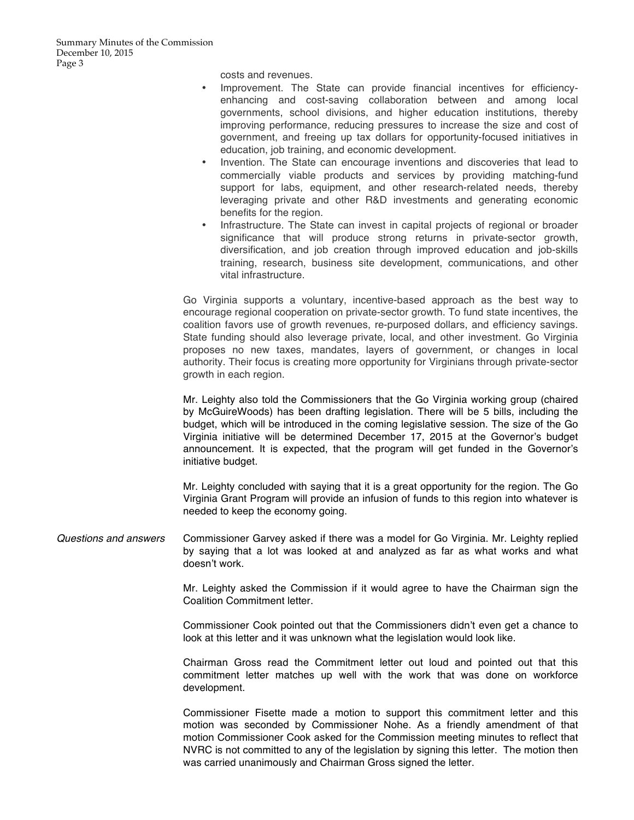costs and revenues.

- Improvement. The State can provide financial incentives for efficiencyenhancing and cost-saving collaboration between and among local governments, school divisions, and higher education institutions, thereby improving performance, reducing pressures to increase the size and cost of government, and freeing up tax dollars for opportunity-focused initiatives in education, job training, and economic development.
- Invention. The State can encourage inventions and discoveries that lead to commercially viable products and services by providing matching-fund support for labs, equipment, and other research-related needs, thereby leveraging private and other R&D investments and generating economic benefits for the region.
- Infrastructure. The State can invest in capital projects of regional or broader significance that will produce strong returns in private-sector growth, diversification, and job creation through improved education and job-skills training, research, business site development, communications, and other vital infrastructure.

Go Virginia supports a voluntary, incentive-based approach as the best way to encourage regional cooperation on private-sector growth. To fund state incentives, the coalition favors use of growth revenues, re-purposed dollars, and efficiency savings. State funding should also leverage private, local, and other investment. Go Virginia proposes no new taxes, mandates, layers of government, or changes in local authority. Their focus is creating more opportunity for Virginians through private-sector growth in each region.

Mr. Leighty also told the Commissioners that the Go Virginia working group (chaired by McGuireWoods) has been drafting legislation. There will be 5 bills, including the budget, which will be introduced in the coming legislative session. The size of the Go Virginia initiative will be determined December 17, 2015 at the Governor's budget announcement. It is expected, that the program will get funded in the Governor's initiative budget.

Mr. Leighty concluded with saying that it is a great opportunity for the region. The Go Virginia Grant Program will provide an infusion of funds to this region into whatever is needed to keep the economy going.

*Questions and answers* Commissioner Garvey asked if there was a model for Go Virginia. Mr. Leighty replied by saying that a lot was looked at and analyzed as far as what works and what doesn't work.

> Mr. Leighty asked the Commission if it would agree to have the Chairman sign the Coalition Commitment letter.

> Commissioner Cook pointed out that the Commissioners didn't even get a chance to look at this letter and it was unknown what the legislation would look like.

> Chairman Gross read the Commitment letter out loud and pointed out that this commitment letter matches up well with the work that was done on workforce development.

> Commissioner Fisette made a motion to support this commitment letter and this motion was seconded by Commissioner Nohe. As a friendly amendment of that motion Commissioner Cook asked for the Commission meeting minutes to reflect that NVRC is not committed to any of the legislation by signing this letter. The motion then was carried unanimously and Chairman Gross signed the letter.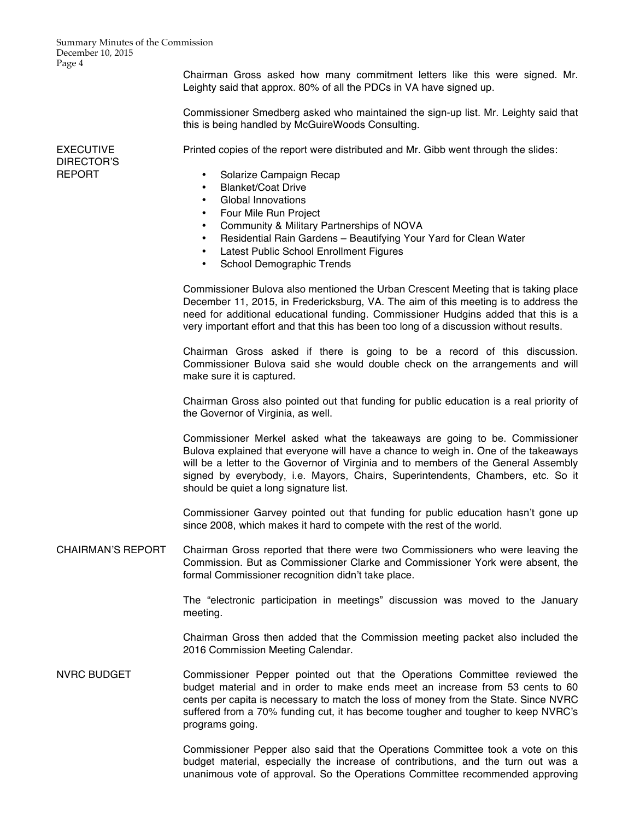Summary Minutes of the Commission December 10, 2015 Page 4

> Chairman Gross asked how many commitment letters like this were signed. Mr. Leighty said that approx. 80% of all the PDCs in VA have signed up.

> Commissioner Smedberg asked who maintained the sign-up list. Mr. Leighty said that this is being handled by McGuireWoods Consulting.

EXECUTIVE DIRECTOR'S REPORT

Printed copies of the report were distributed and Mr. Gibb went through the slides:

- Solarize Campaign Recap
- Blanket/Coat Drive
- Global Innovations
- Four Mile Run Project
- Community & Military Partnerships of NOVA
- Residential Rain Gardens Beautifying Your Yard for Clean Water
- Latest Public School Enrollment Figures
- School Demographic Trends

Commissioner Bulova also mentioned the Urban Crescent Meeting that is taking place December 11, 2015, in Fredericksburg, VA. The aim of this meeting is to address the need for additional educational funding. Commissioner Hudgins added that this is a very important effort and that this has been too long of a discussion without results.

Chairman Gross asked if there is going to be a record of this discussion. Commissioner Bulova said she would double check on the arrangements and will make sure it is captured.

Chairman Gross also pointed out that funding for public education is a real priority of the Governor of Virginia, as well.

Commissioner Merkel asked what the takeaways are going to be. Commissioner Bulova explained that everyone will have a chance to weigh in. One of the takeaways will be a letter to the Governor of Virginia and to members of the General Assembly signed by everybody, i.e. Mayors, Chairs, Superintendents, Chambers, etc. So it should be quiet a long signature list.

Commissioner Garvey pointed out that funding for public education hasn't gone up since 2008, which makes it hard to compete with the rest of the world.

CHAIRMAN'S REPORT Chairman Gross reported that there were two Commissioners who were leaving the Commission. But as Commissioner Clarke and Commissioner York were absent, the formal Commissioner recognition didn't take place.

> The "electronic participation in meetings" discussion was moved to the January meeting.

> Chairman Gross then added that the Commission meeting packet also included the 2016 Commission Meeting Calendar.

NVRC BUDGET Commissioner Pepper pointed out that the Operations Committee reviewed the budget material and in order to make ends meet an increase from 53 cents to 60 cents per capita is necessary to match the loss of money from the State. Since NVRC suffered from a 70% funding cut, it has become tougher and tougher to keep NVRC's programs going.

> Commissioner Pepper also said that the Operations Committee took a vote on this budget material, especially the increase of contributions, and the turn out was a unanimous vote of approval. So the Operations Committee recommended approving